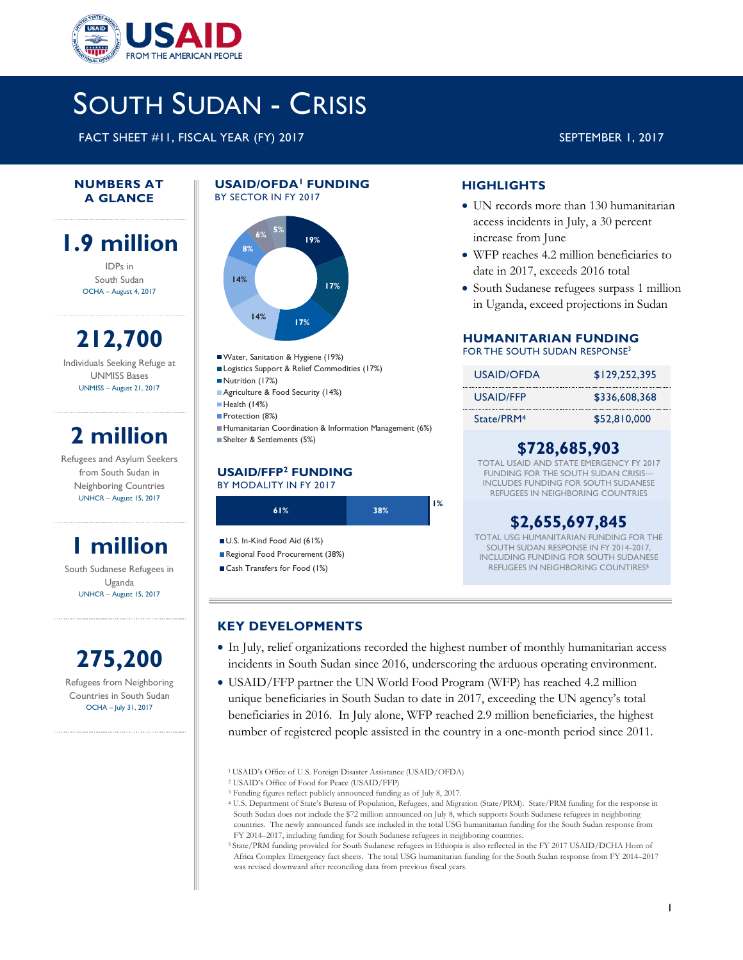

# SOUTH SUDAN - CRISIS

FACT SHEET #11, FISCAL YEAR (FY) 2017 SEPTEMBER 1, 2017

#### **NUMBERS AT A GLANCE**

## **1.9 million**

IDPs in South Sudan OCHA – August 4, 2017

**212,700** Individuals Seeking Refuge at UNMISS Bases UNMISS – August 21, 2017

# **2 million**

Refugees and Asylum Seekers from South Sudan in Neighboring Countries UNHCR – August 15, 2017

# **1 million**

South Sudanese Refugees in Uganda UNHCR – August 15, 2017



Countries in South Sudan OCHA – July 31, 2017

#### **USAID/OFDA<sup>1</sup>FUNDING**  BY SECTOR IN FY 2017



- Water, Sanitation & Hygiene (19%)
- Logistics Support & Relief Commodities (17%)
- Nutrition (17%)
- **Agriculture & Food Security (14%)**
- Health (14%)
- Protection (8%)
- Humanitarian Coordination & Information Management (6%)
- Shelter & Settlements (5%)

#### **USAID/FFP<sup>2</sup> FUNDING** BY MODALITY IN FY 2017



### **HIGHLIGHTS**

- UN records more than 130 humanitarian access incidents in July, a 30 percent increase from June
- WFP reaches 4.2 million beneficiaries to date in 2017, exceeds 2016 total
- South Sudanese refugees surpass 1 million in Uganda, exceed projections in Sudan

### **HUMANITARIAN FUNDING**

FOR THE SOUTH SUDAN RESPONSE<sup>3</sup>

| USAID/OFDA | \$129,252,395 |
|------------|---------------|
| USAID/FFP  | \$336,608,368 |
| State/PRM4 | \$52.810,000  |

### **\$728,685,903**

TOTAL USAID AND STATE EMERGENCY FY 2017 FUNDING FOR THE SOUTH SUDAN CRISIS-INCLUDES FUNDING FOR SOUTH SUDANESE REFUGEES IN NEIGHBORING COUNTRIES

### **\$2,655,697,845**

TOTAL USG HUMANITARIAN FUNDING FOR THE SOUTH SUDAN RESPONSE IN FY 2014-2017, INCLUDING FUNDING FOR SOUTH SUDANESE REFUGEES IN NEIGHBORING COUNTIRES**<sup>5</sup>**

#### **KEY DEVELOPMENTS**

- In July, relief organizations recorded the highest number of monthly humanitarian access incidents in South Sudan since 2016, underscoring the arduous operating environment.
- USAID/FFP partner the UN World Food Program (WFP) has reached 4.2 million unique beneficiaries in South Sudan to date in 2017, exceeding the UN agency's total beneficiaries in 2016. In July alone, WFP reached 2.9 million beneficiaries, the highest number of registered people assisted in the country in a one-month period since 2011.

- <sup>3</sup> Funding figures reflect publicly announced funding as of July 8, 2017.
- <sup>4</sup> U.S. Department of State's Bureau of Population, Refugees, and Migration (State/PRM). State/PRM funding for the response in South Sudan does not include the \$72 million announced on July 8, which supports South Sudanese refugees in neighboring countries. The newly announced funds are included in the total USG humanitarian funding for the South Sudan response from FY 2014–2017, including funding for South Sudanese refugees in neighboring countries.
- <sup>5</sup> State/PRM funding provided for South Sudanese refugees in Ethiopia is also reflected in the FY 2017 USAID/DCHA Horn of Africa Complex Emergency fact sheets. The total USG humanitarian funding for the South Sudan response from FY 2014–2017 was revised downward after reconciling data from previous fiscal years.

<sup>1</sup>USAID's Office of U.S. Foreign Disaster Assistance (USAID/OFDA)

<sup>2</sup> USAID's Office of Food for Peace (USAID/FFP)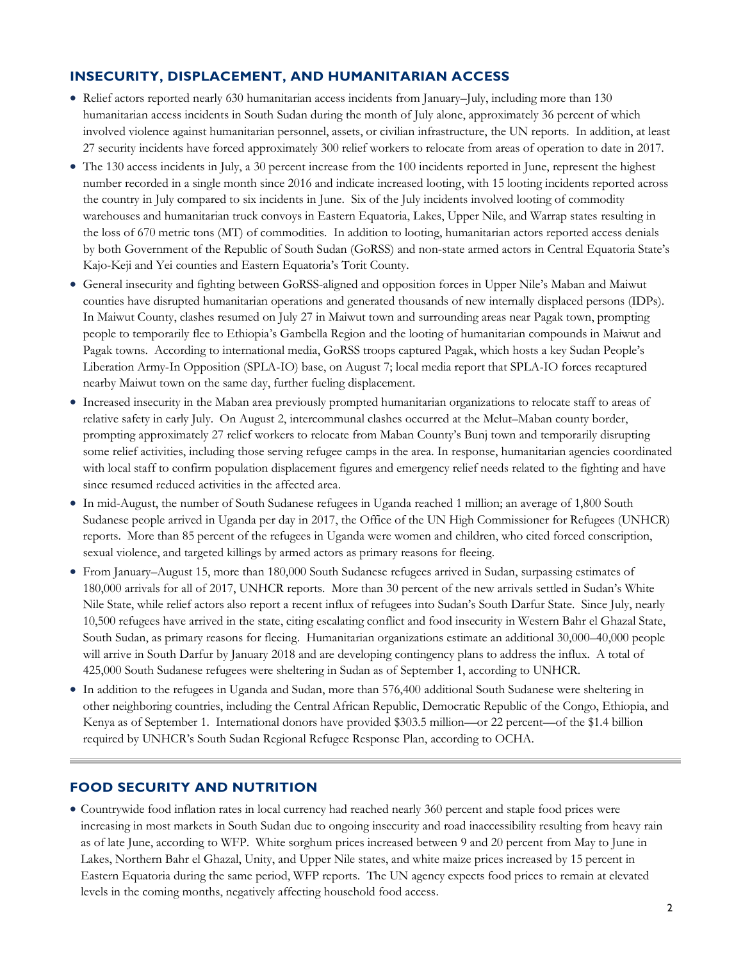#### **INSECURITY, DISPLACEMENT, AND HUMANITARIAN ACCESS**

- Relief actors reported nearly 630 humanitarian access incidents from January–July, including more than 130 humanitarian access incidents in South Sudan during the month of July alone, approximately 36 percent of which involved violence against humanitarian personnel, assets, or civilian infrastructure, the UN reports. In addition, at least 27 security incidents have forced approximately 300 relief workers to relocate from areas of operation to date in 2017.
- The 130 access incidents in July, a 30 percent increase from the 100 incidents reported in June, represent the highest number recorded in a single month since 2016 and indicate increased looting, with 15 looting incidents reported across the country in July compared to six incidents in June. Six of the July incidents involved looting of commodity warehouses and humanitarian truck convoys in Eastern Equatoria, Lakes, Upper Nile, and Warrap states resulting in the loss of 670 metric tons (MT) of commodities. In addition to looting, humanitarian actors reported access denials by both Government of the Republic of South Sudan (GoRSS) and non-state armed actors in Central Equatoria State's Kajo-Keji and Yei counties and Eastern Equatoria's Torit County.
- General insecurity and fighting between GoRSS-aligned and opposition forces in Upper Nile's Maban and Maiwut counties have disrupted humanitarian operations and generated thousands of new internally displaced persons (IDPs). In Maiwut County, clashes resumed on July 27 in Maiwut town and surrounding areas near Pagak town, prompting people to temporarily flee to Ethiopia's Gambella Region and the looting of humanitarian compounds in Maiwut and Pagak towns. According to international media, GoRSS troops captured Pagak, which hosts a key Sudan People's Liberation Army-In Opposition (SPLA-IO) base, on August 7; local media report that SPLA-IO forces recaptured nearby Maiwut town on the same day, further fueling displacement.
- Increased insecurity in the Maban area previously prompted humanitarian organizations to relocate staff to areas of relative safety in early July. On August 2, intercommunal clashes occurred at the Melut–Maban county border, prompting approximately 27 relief workers to relocate from Maban County's Bunj town and temporarily disrupting some relief activities, including those serving refugee camps in the area. In response, humanitarian agencies coordinated with local staff to confirm population displacement figures and emergency relief needs related to the fighting and have since resumed reduced activities in the affected area.
- In mid-August, the number of South Sudanese refugees in Uganda reached 1 million; an average of 1,800 South Sudanese people arrived in Uganda per day in 2017, the Office of the UN High Commissioner for Refugees (UNHCR) reports. More than 85 percent of the refugees in Uganda were women and children, who cited forced conscription, sexual violence, and targeted killings by armed actors as primary reasons for fleeing.
- From January–August 15, more than 180,000 South Sudanese refugees arrived in Sudan, surpassing estimates of 180,000 arrivals for all of 2017, UNHCR reports. More than 30 percent of the new arrivals settled in Sudan's White Nile State, while relief actors also report a recent influx of refugees into Sudan's South Darfur State. Since July, nearly 10,500 refugees have arrived in the state, citing escalating conflict and food insecurity in Western Bahr el Ghazal State, South Sudan, as primary reasons for fleeing. Humanitarian organizations estimate an additional 30,000–40,000 people will arrive in South Darfur by January 2018 and are developing contingency plans to address the influx. A total of 425,000 South Sudanese refugees were sheltering in Sudan as of September 1, according to UNHCR.
- In addition to the refugees in Uganda and Sudan, more than 576,400 additional South Sudanese were sheltering in other neighboring countries, including the Central African Republic, Democratic Republic of the Congo, Ethiopia, and Kenya as of September 1. International donors have provided \$303.5 million—or 22 percent—of the \$1.4 billion required by UNHCR's South Sudan Regional Refugee Response Plan, according to OCHA.

#### **FOOD SECURITY AND NUTRITION**

 Countrywide food inflation rates in local currency had reached nearly 360 percent and staple food prices were increasing in most markets in South Sudan due to ongoing insecurity and road inaccessibility resulting from heavy rain as of late June, according to WFP. White sorghum prices increased between 9 and 20 percent from May to June in Lakes, Northern Bahr el Ghazal, Unity, and Upper Nile states, and white maize prices increased by 15 percent in Eastern Equatoria during the same period, WFP reports. The UN agency expects food prices to remain at elevated levels in the coming months, negatively affecting household food access.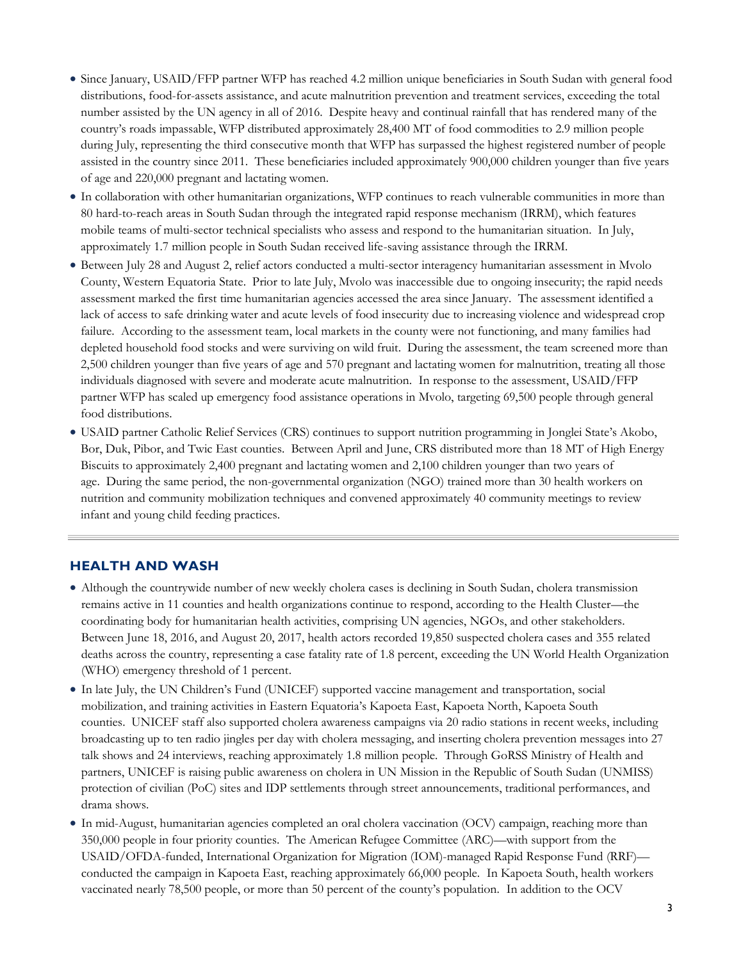- Since January, USAID/FFP partner WFP has reached 4.2 million unique beneficiaries in South Sudan with general food distributions, food-for-assets assistance, and acute malnutrition prevention and treatment services, exceeding the total number assisted by the UN agency in all of 2016. Despite heavy and continual rainfall that has rendered many of the country's roads impassable, WFP distributed approximately 28,400 MT of food commodities to 2.9 million people during July, representing the third consecutive month that WFP has surpassed the highest registered number of people assisted in the country since 2011. These beneficiaries included approximately 900,000 children younger than five years of age and 220,000 pregnant and lactating women.
- In collaboration with other humanitarian organizations, WFP continues to reach vulnerable communities in more than 80 hard-to-reach areas in South Sudan through the integrated rapid response mechanism (IRRM), which features mobile teams of multi-sector technical specialists who assess and respond to the humanitarian situation. In July, approximately 1.7 million people in South Sudan received life-saving assistance through the IRRM.
- Between July 28 and August 2, relief actors conducted a multi-sector interagency humanitarian assessment in Mvolo County, Western Equatoria State. Prior to late July, Mvolo was inaccessible due to ongoing insecurity; the rapid needs assessment marked the first time humanitarian agencies accessed the area since January. The assessment identified a lack of access to safe drinking water and acute levels of food insecurity due to increasing violence and widespread crop failure. According to the assessment team, local markets in the county were not functioning, and many families had depleted household food stocks and were surviving on wild fruit. During the assessment, the team screened more than 2,500 children younger than five years of age and 570 pregnant and lactating women for malnutrition, treating all those individuals diagnosed with severe and moderate acute malnutrition. In response to the assessment, USAID/FFP partner WFP has scaled up emergency food assistance operations in Mvolo, targeting 69,500 people through general food distributions.
- USAID partner Catholic Relief Services (CRS) continues to support nutrition programming in Jonglei State's Akobo, Bor, Duk, Pibor, and Twic East counties. Between April and June, CRS distributed more than 18 MT of High Energy Biscuits to approximately 2,400 pregnant and lactating women and 2,100 children younger than two years of age. During the same period, the non-governmental organization (NGO) trained more than 30 health workers on nutrition and community mobilization techniques and convened approximately 40 community meetings to review infant and young child feeding practices.

#### **HEALTH AND WASH**

- Although the countrywide number of new weekly cholera cases is declining in South Sudan, cholera transmission remains active in 11 counties and health organizations continue to respond, according to the Health Cluster—the coordinating body for humanitarian health activities, comprising UN agencies, NGOs, and other stakeholders. Between June 18, 2016, and August 20, 2017, health actors recorded 19,850 suspected cholera cases and 355 related deaths across the country, representing a case fatality rate of 1.8 percent, exceeding the UN World Health Organization (WHO) emergency threshold of 1 percent.
- In late July, the UN Children's Fund (UNICEF) supported vaccine management and transportation, social mobilization, and training activities in Eastern Equatoria's Kapoeta East, Kapoeta North, Kapoeta South counties. UNICEF staff also supported cholera awareness campaigns via 20 radio stations in recent weeks, including broadcasting up to ten radio jingles per day with cholera messaging, and inserting cholera prevention messages into 27 talk shows and 24 interviews, reaching approximately 1.8 million people. Through GoRSS Ministry of Health and partners, UNICEF is raising public awareness on cholera in UN Mission in the Republic of South Sudan (UNMISS) protection of civilian (PoC) sites and IDP settlements through street announcements, traditional performances, and drama shows.
- In mid-August, humanitarian agencies completed an oral cholera vaccination (OCV) campaign, reaching more than 350,000 people in four priority counties. The American Refugee Committee (ARC)—with support from the USAID/OFDA-funded, International Organization for Migration (IOM)-managed Rapid Response Fund (RRF) conducted the campaign in Kapoeta East, reaching approximately 66,000 people. In Kapoeta South, health workers vaccinated nearly 78,500 people, or more than 50 percent of the county's population. In addition to the OCV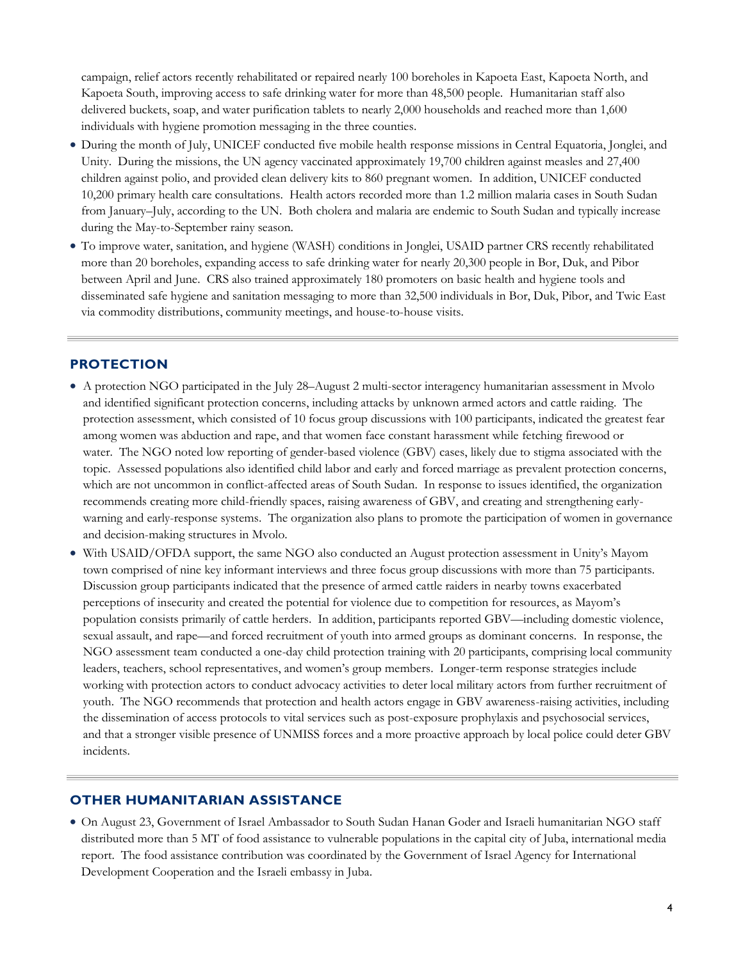campaign, relief actors recently rehabilitated or repaired nearly 100 boreholes in Kapoeta East, Kapoeta North, and Kapoeta South, improving access to safe drinking water for more than 48,500 people. Humanitarian staff also delivered buckets, soap, and water purification tablets to nearly 2,000 households and reached more than 1,600 individuals with hygiene promotion messaging in the three counties.

- During the month of July, UNICEF conducted five mobile health response missions in Central Equatoria, Jonglei, and Unity. During the missions, the UN agency vaccinated approximately 19,700 children against measles and 27,400 children against polio, and provided clean delivery kits to 860 pregnant women. In addition, UNICEF conducted 10,200 primary health care consultations. Health actors recorded more than 1.2 million malaria cases in South Sudan from January–July, according to the UN. Both cholera and malaria are endemic to South Sudan and typically increase during the May-to-September rainy season.
- To improve water, sanitation, and hygiene (WASH) conditions in Jonglei, USAID partner CRS recently rehabilitated more than 20 boreholes, expanding access to safe drinking water for nearly 20,300 people in Bor, Duk, and Pibor between April and June. CRS also trained approximately 180 promoters on basic health and hygiene tools and disseminated safe hygiene and sanitation messaging to more than 32,500 individuals in Bor, Duk, Pibor, and Twic East via commodity distributions, community meetings, and house-to-house visits.

#### **PROTECTION**

- A protection NGO participated in the July 28–August 2 multi-sector interagency humanitarian assessment in Mvolo and identified significant protection concerns, including attacks by unknown armed actors and cattle raiding. The protection assessment, which consisted of 10 focus group discussions with 100 participants, indicated the greatest fear among women was abduction and rape, and that women face constant harassment while fetching firewood or water. The NGO noted low reporting of gender-based violence (GBV) cases, likely due to stigma associated with the topic. Assessed populations also identified child labor and early and forced marriage as prevalent protection concerns, which are not uncommon in conflict-affected areas of South Sudan. In response to issues identified, the organization recommends creating more child-friendly spaces, raising awareness of GBV, and creating and strengthening earlywarning and early-response systems. The organization also plans to promote the participation of women in governance and decision-making structures in Mvolo.
- With USAID/OFDA support, the same NGO also conducted an August protection assessment in Unity's Mayom town comprised of nine key informant interviews and three focus group discussions with more than 75 participants. Discussion group participants indicated that the presence of armed cattle raiders in nearby towns exacerbated perceptions of insecurity and created the potential for violence due to competition for resources, as Mayom's population consists primarily of cattle herders. In addition, participants reported GBV—including domestic violence, sexual assault, and rape—and forced recruitment of youth into armed groups as dominant concerns. In response, the NGO assessment team conducted a one-day child protection training with 20 participants, comprising local community leaders, teachers, school representatives, and women's group members. Longer-term response strategies include working with protection actors to conduct advocacy activities to deter local military actors from further recruitment of youth. The NGO recommends that protection and health actors engage in GBV awareness-raising activities, including the dissemination of access protocols to vital services such as post-exposure prophylaxis and psychosocial services, and that a stronger visible presence of UNMISS forces and a more proactive approach by local police could deter GBV incidents.

#### **OTHER HUMANITARIAN ASSISTANCE**

 On August 23, Government of Israel Ambassador to South Sudan Hanan Goder and Israeli humanitarian NGO staff distributed more than 5 MT of food assistance to vulnerable populations in the capital city of Juba, international media report. The food assistance contribution was coordinated by the Government of Israel Agency for International Development Cooperation and the Israeli embassy in Juba.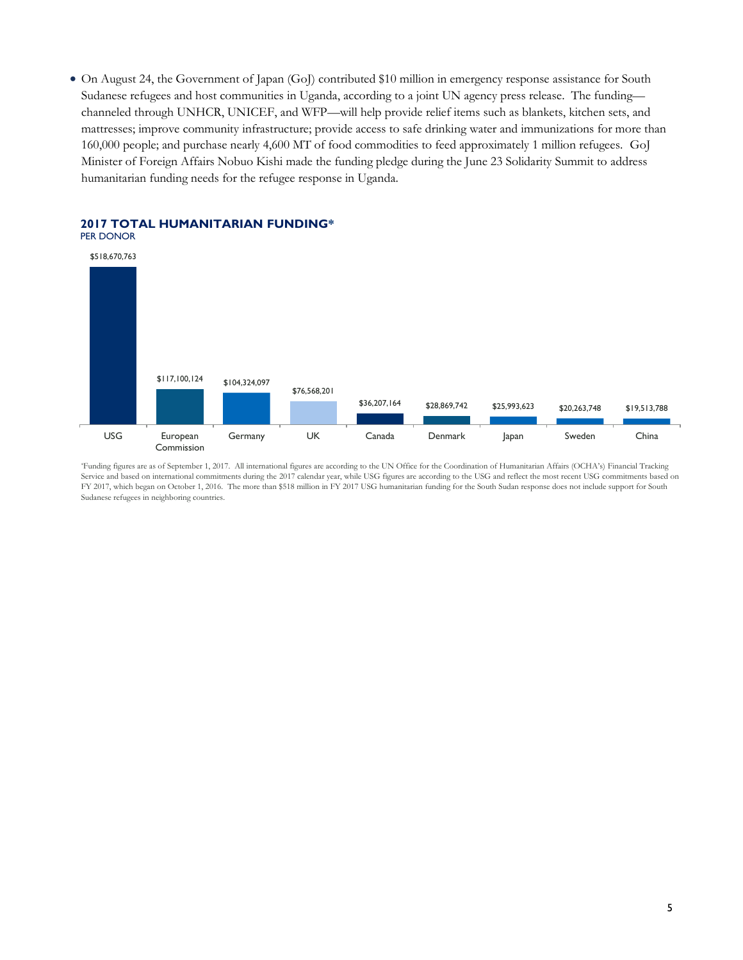On August 24, the Government of Japan (GoJ) contributed \$10 million in emergency response assistance for South Sudanese refugees and host communities in Uganda, according to a joint UN agency press release. The funding channeled through UNHCR, UNICEF, and WFP—will help provide relief items such as blankets, kitchen sets, and mattresses; improve community infrastructure; provide access to safe drinking water and immunizations for more than 160,000 people; and purchase nearly 4,600 MT of food commodities to feed approximately 1 million refugees. GoJ Minister of Foreign Affairs Nobuo Kishi made the funding pledge during the June 23 Solidarity Summit to address humanitarian funding needs for the refugee response in Uganda.



### **2017 TOTAL HUMANITARIAN FUNDING\***

\*Funding figures are as of September 1, 2017. All international figures are according to the UN Office for the Coordination of Humanitarian Affairs (OCHA's) Financial Tracking Service and based on international commitments during the 2017 calendar year, while USG figures are according to the USG and reflect the most recent USG commitments based on FY 2017, which began on October 1, 2016. The more than \$518 million in FY 2017 USG humanitarian funding for the South Sudan response does not include support for South Sudanese refugees in neighboring countries.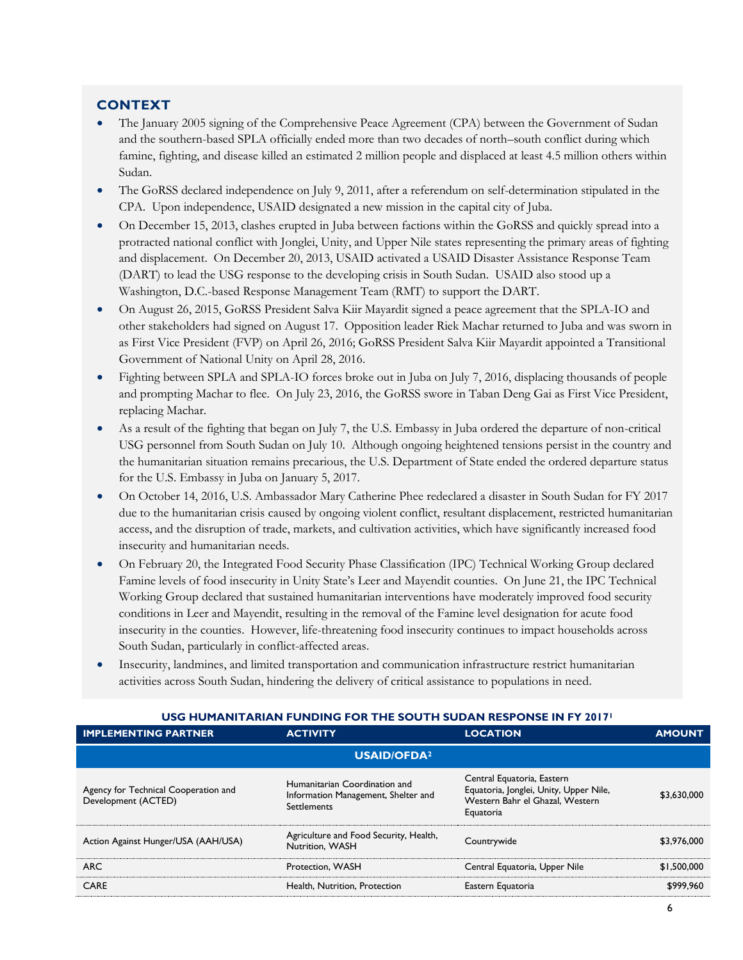#### **CONTEXT**

- The January 2005 signing of the Comprehensive Peace Agreement (CPA) between the Government of Sudan and the southern-based SPLA officially ended more than two decades of north–south conflict during which famine, fighting, and disease killed an estimated 2 million people and displaced at least 4.5 million others within Sudan.
- The GoRSS declared independence on July 9, 2011, after a referendum on self-determination stipulated in the CPA. Upon independence, USAID designated a new mission in the capital city of Juba.
- On December 15, 2013, clashes erupted in Juba between factions within the GoRSS and quickly spread into a protracted national conflict with Jonglei, Unity, and Upper Nile states representing the primary areas of fighting and displacement. On December 20, 2013, USAID activated a USAID Disaster Assistance Response Team (DART) to lead the USG response to the developing crisis in South Sudan. USAID also stood up a Washington, D.C.-based Response Management Team (RMT) to support the DART.
- On August 26, 2015, GoRSS President Salva Kiir Mayardit signed a peace agreement that the SPLA-IO and other stakeholders had signed on August 17. Opposition leader Riek Machar returned to Juba and was sworn in as First Vice President (FVP) on April 26, 2016; GoRSS President Salva Kiir Mayardit appointed a Transitional Government of National Unity on April 28, 2016.
- Fighting between SPLA and SPLA-IO forces broke out in Juba on July 7, 2016, displacing thousands of people and prompting Machar to flee. On July 23, 2016, the GoRSS swore in Taban Deng Gai as First Vice President, replacing Machar.
- As a result of the fighting that began on July 7, the U.S. Embassy in Juba ordered the departure of non-critical USG personnel from South Sudan on July 10. Although ongoing heightened tensions persist in the country and the humanitarian situation remains precarious, the U.S. Department of State ended the ordered departure status for the U.S. Embassy in Juba on January 5, 2017.
- On October 14, 2016, U.S. Ambassador Mary Catherine Phee redeclared a disaster in South Sudan for FY 2017 due to the humanitarian crisis caused by ongoing violent conflict, resultant displacement, restricted humanitarian access, and the disruption of trade, markets, and cultivation activities, which have significantly increased food insecurity and humanitarian needs.
- On February 20, the Integrated Food Security Phase Classification (IPC) Technical Working Group declared Famine levels of food insecurity in Unity State's Leer and Mayendit counties. On June 21, the IPC Technical Working Group declared that sustained humanitarian interventions have moderately improved food security conditions in Leer and Mayendit, resulting in the removal of the Famine level designation for acute food insecurity in the counties. However, life-threatening food insecurity continues to impact households across South Sudan, particularly in conflict-affected areas.
- Insecurity, landmines, and limited transportation and communication infrastructure restrict humanitarian activities across South Sudan, hindering the delivery of critical assistance to populations in need.

| <u>USSI TIUPIANI LANIAN FUNDING FUN THE SUUTH SUDAN NESFUNSE IN FT ZVITE</u> |                                                                                            |                                                                                                                      |               |
|------------------------------------------------------------------------------|--------------------------------------------------------------------------------------------|----------------------------------------------------------------------------------------------------------------------|---------------|
| <b>IMPLEMENTING PARTNER</b>                                                  | <b>ACTIVITY</b>                                                                            | <b>LOCATION</b>                                                                                                      | <b>AMOUNT</b> |
| <b>USAID/OFDA<sup>2</sup></b>                                                |                                                                                            |                                                                                                                      |               |
| Agency for Technical Cooperation and<br>Development (ACTED)                  | Humanitarian Coordination and<br>Information Management, Shelter and<br><b>Settlements</b> | Central Equatoria, Eastern<br>Equatoria, Jonglei, Unity, Upper Nile,<br>Western Bahr el Ghazal, Western<br>Equatoria | \$3,630,000   |
| Action Against Hunger/USA (AAH/USA)                                          | Agriculture and Food Security, Health,<br><b>Nutrition, WASH</b>                           | Countrywide                                                                                                          | \$3,976,000   |
| <b>ARC</b>                                                                   | Protection, WASH                                                                           | Central Equatoria, Upper Nile                                                                                        | \$1,500,000   |
| CARE                                                                         | Health, Nutrition, Protection                                                              | Eastern Equatoria                                                                                                    | \$999.960     |

### **USG HUMANITARIAN FUNDING FOR THE SOUTH SUDAN RESPONSE IN FY 2017<sup>1</sup>**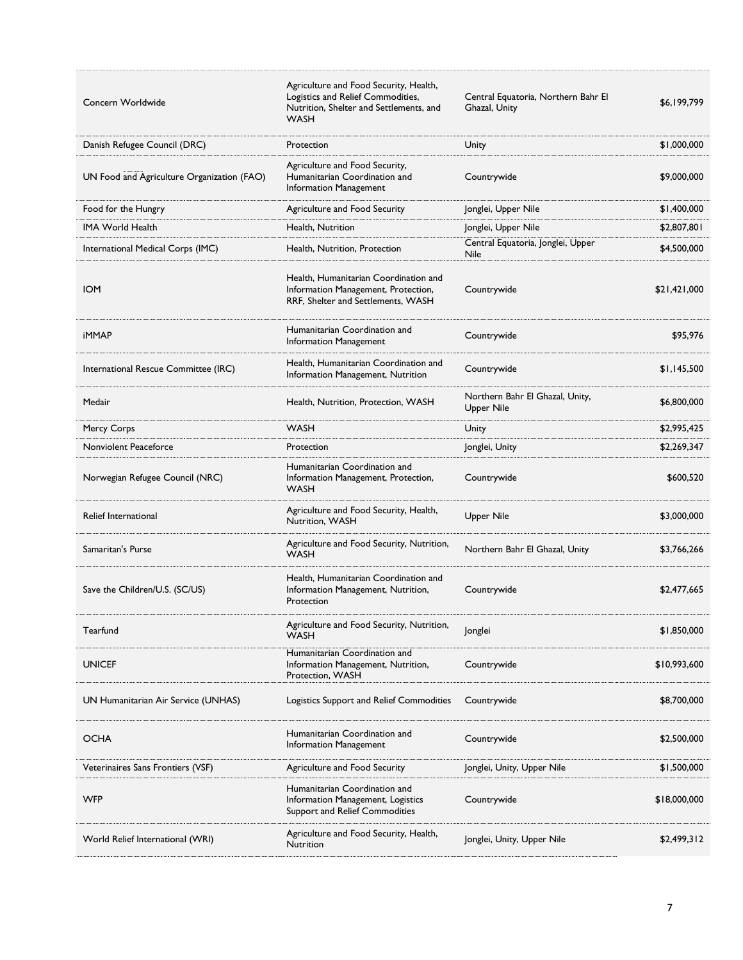| Concern Worldwide                          | Agriculture and Food Security, Health,<br>Logistics and Relief Commodities,<br>Nutrition, Shelter and Settlements, and<br>WASH | Central Equatoria, Northern Bahr El<br>Ghazal, Unity | \$6,199,799  |
|--------------------------------------------|--------------------------------------------------------------------------------------------------------------------------------|------------------------------------------------------|--------------|
| Danish Refugee Council (DRC)               | Protection                                                                                                                     | Unity                                                | \$1,000,000  |
| UN Food and Agriculture Organization (FAO) | Agriculture and Food Security,<br>Humanitarian Coordination and<br>Information Management                                      | Countrywide                                          | \$9,000,000  |
| Food for the Hungry                        | Agriculture and Food Security                                                                                                  | Jonglei, Upper Nile                                  | \$1,400,000  |
| <b>IMA World Health</b>                    | Health, Nutrition                                                                                                              | Jonglei, Upper Nile                                  | \$2,807,801  |
| International Medical Corps (IMC)          | Health, Nutrition, Protection                                                                                                  | Central Equatoria, Jonglei, Upper<br>Nile            | \$4,500,000  |
| <b>IOM</b>                                 | Health, Humanitarian Coordination and<br>Information Management, Protection,<br>RRF, Shelter and Settlements, WASH             | Countrywide                                          | \$21,421,000 |
| <b>iMMAP</b>                               | Humanitarian Coordination and<br>Information Management                                                                        | Countrywide                                          | \$95.976     |
| International Rescue Committee (IRC)       | Health, Humanitarian Coordination and<br>Information Management, Nutrition                                                     | Countrywide                                          | \$1.145.500  |
| Medair                                     | Health, Nutrition, Protection, WASH                                                                                            | Northern Bahr El Ghazal, Unity,<br>Upper Nile        | \$6,800,000  |
| Mercy Corps                                | <b>WASH</b>                                                                                                                    | Unity                                                | \$2,995,425  |
| Nonviolent Peaceforce                      | Protection                                                                                                                     | Jonglei, Unity                                       | \$2,269,347  |
| Norwegian Refugee Council (NRC)            | Humanitarian Coordination and<br>Information Management, Protection,<br>WASH                                                   | Countrywide                                          | \$600,520    |
| Relief International                       | Agriculture and Food Security, Health,<br>Nutrition, WASH                                                                      | Upper Nile                                           | \$3,000,000  |
| Samaritan's Purse                          | Agriculture and Food Security, Nutrition,<br><b>WASH</b>                                                                       | Northern Bahr El Ghazal, Unity                       | \$3,766,266  |
| Save the Children/U.S. (SC/US)             | Health, Humanitarian Coordination and<br>Information Management, Nutrition,<br>Protection                                      | Countrywide                                          | \$2,477,665  |
| Tearfund                                   | Agriculture and Food Security, Nutrition,<br><b>WASH</b>                                                                       | Jonglei                                              | \$1,850,000  |
| <b>UNICEF</b>                              | Humanitarian Coordination and<br>Information Management, Nutrition,<br>Protection, WASH                                        | Countrywide                                          | \$10,993,600 |
| UN Humanitarian Air Service (UNHAS)        | Logistics Support and Relief Commodities                                                                                       | Countrywide                                          | \$8,700,000  |
| OCHA                                       | Humanitarian Coordination and<br>Information Management                                                                        | Countrywide                                          | \$2,500,000  |
| Veterinaires Sans Frontiers (VSF)          | Agriculture and Food Security                                                                                                  | Jonglei, Unity, Upper Nile                           | \$1,500,000  |
| WFP                                        | Humanitarian Coordination and<br>Information Management, Logistics<br>Support and Relief Commodities                           | Countrywide                                          | \$18,000,000 |
| World Relief International (WRI)           | Agriculture and Food Security, Health,<br>Nutrition                                                                            | Jonglei, Unity, Upper Nile                           | \$2,499,312  |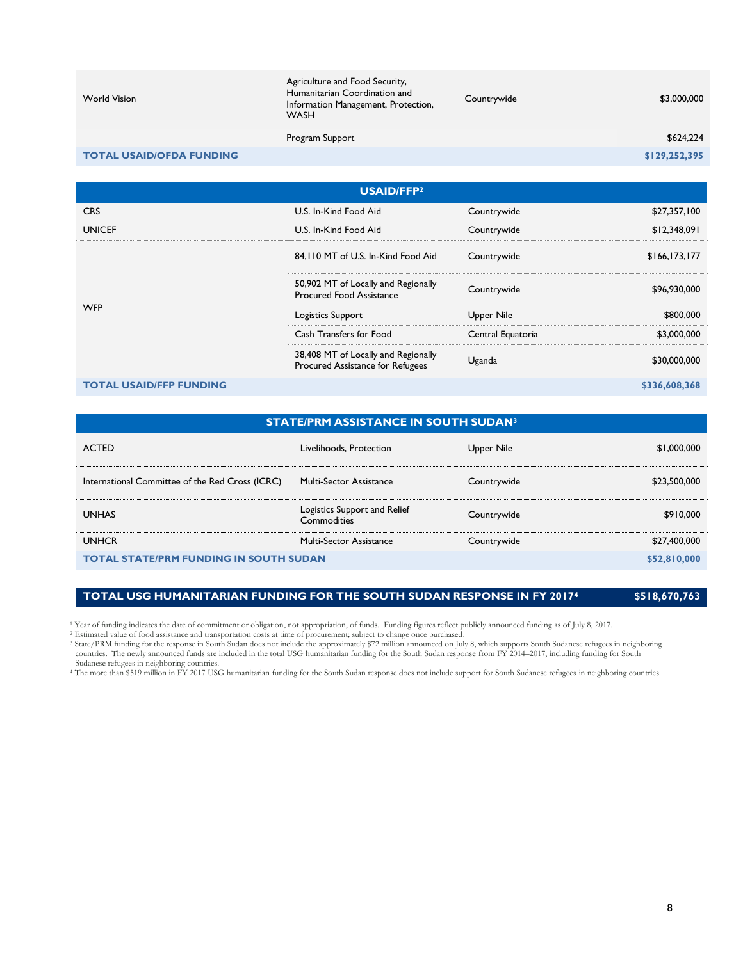| <b>World Vision</b>             | Agriculture and Food Security,<br>Humanitarian Coordination and<br>Information Management, Protection,<br><b>WASH</b> | Countrywide | \$3,000,000   |
|---------------------------------|-----------------------------------------------------------------------------------------------------------------------|-------------|---------------|
|                                 | Program Support                                                                                                       |             | \$624,224     |
| <b>TOTAL USAID/OFDA FUNDING</b> |                                                                                                                       |             | \$129,252,395 |

| USAID/FFP <sup>2</sup>         |                                                                         |                   |                 |
|--------------------------------|-------------------------------------------------------------------------|-------------------|-----------------|
| <b>CRS</b>                     | U.S. In-Kind Food Aid                                                   | Countrywide       | \$27,357,100    |
| <b>UNICEF</b>                  | U.S. In-Kind Food Aid                                                   | Countrywide       | \$12,348,091    |
| <b>WFP</b>                     | 84, I IO MT of U.S. In-Kind Food Aid                                    | Countrywide       | \$166, 173, 177 |
|                                | 50,902 MT of Locally and Regionally<br><b>Procured Food Assistance</b>  | Countrywide       | \$96,930,000    |
|                                | Logistics Support                                                       | Upper Nile        | \$800,000       |
|                                | Cash Transfers for Food                                                 | Central Equatoria | \$3,000,000     |
|                                | 38,408 MT of Locally and Regionally<br>Procured Assistance for Refugees | Uganda            | \$30,000,000    |
| <b>TOTAL USAID/FFP FUNDING</b> |                                                                         |                   | \$336,608,368   |

#### **STATE/PRM ASSISTANCE IN SOUTH SUDAN<sup>3</sup>**

| <b>ACTED</b>                                    | Livelihoods, Protection                     | Upper Nile  | \$1,000,000  |
|-------------------------------------------------|---------------------------------------------|-------------|--------------|
| International Committee of the Red Cross (ICRC) | Multi-Sector Assistance                     | Countrywide | \$23,500,000 |
| <b>UNHAS</b>                                    | Logistics Support and Relief<br>Commodities | Countrywide | \$910,000    |
| <b>UNHCR</b>                                    | <b>Multi-Sector Assistance</b>              | Countrywide | \$27,400,000 |
| <b>TOTAL STATE/PRM FUNDING IN SOUTH SUDAN</b>   |                                             |             | \$52,810,000 |

#### **TOTAL USG HUMANITARIAN FUNDING FOR THE SOUTH SUDAN RESPONSE IN FY 2017<sup>4</sup> \$518,670,763**

<sup>1</sup> Year of funding indicates the date of commitment or obligation, not appropriation, of funds. Funding figures reflect publicly announced funding as of July 8, 2017.<br><sup>2</sup> Estimated value of food assistance and transportat countries. The newly announced funds are included in the total USG humanitarian funding for the South Sudan response from FY 2014–2017, including funding for South Sudan response from FY 2014–2017, including funding for So

Sudanese refugees in neighboring countries. <sup>4</sup> The more than \$519 million in FY 2017 USG humanitarian funding for the South Sudan response does not include support for South Sudanese refugees in neighboring countries.